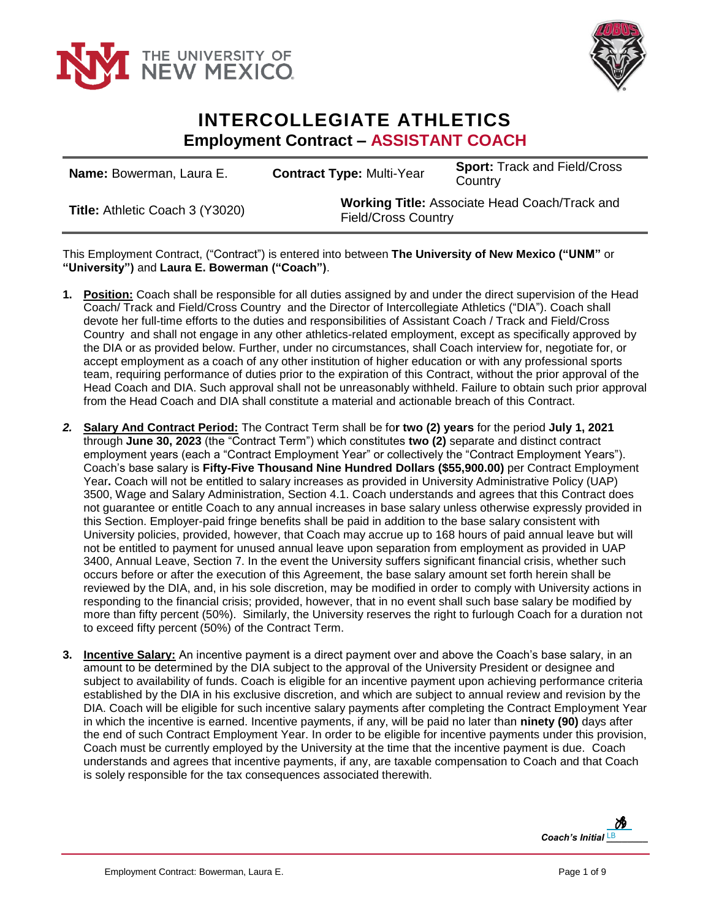



## **INTERCOLLEGIATE ATHLETICS Employment Contract – ASSISTANT COACH**

| <b>Name:</b> Bowerman, Laura E. | <b>Contract Type: Multi-Year</b>                                                   | <b>Sport: Track and Field/Cross</b><br>Country |
|---------------------------------|------------------------------------------------------------------------------------|------------------------------------------------|
| Title: Athletic Coach 3 (Y3020) | <b>Working Title: Associate Head Coach/Track and</b><br><b>Field/Cross Country</b> |                                                |

This Employment Contract, ("Contract") is entered into between **The University of New Mexico ("UNM"** or **"University")** and **Laura E. Bowerman ("Coach")**.

- **1. Position:** Coach shall be responsible for all duties assigned by and under the direct supervision of the Head Coach/ Track and Field/Cross Country and the Director of Intercollegiate Athletics ("DIA"). Coach shall devote her full-time efforts to the duties and responsibilities of Assistant Coach / Track and Field/Cross Country and shall not engage in any other athletics-related employment, except as specifically approved by the DIA or as provided below. Further, under no circumstances, shall Coach interview for, negotiate for, or accept employment as a coach of any other institution of higher education or with any professional sports team, requiring performance of duties prior to the expiration of this Contract, without the prior approval of the Head Coach and DIA. Such approval shall not be unreasonably withheld. Failure to obtain such prior approval from the Head Coach and DIA shall constitute a material and actionable breach of this Contract.
- *2.* **Salary And Contract Period:** The Contract Term shall be fo**r two (2) years** for the period **July 1, 2021** through **June 30, 2023** (the "Contract Term") which constitutes **two (2)** separate and distinct contract employment years (each a "Contract Employment Year" or collectively the "Contract Employment Years"). Coach's base salary is **Fifty-Five Thousand Nine Hundred Dollars (\$55,900.00)** per Contract Employment Year**.** Coach will not be entitled to salary increases as provided in University Administrative Policy (UAP) 3500, Wage and Salary Administration, Section 4.1. Coach understands and agrees that this Contract does not guarantee or entitle Coach to any annual increases in base salary unless otherwise expressly provided in this Section. Employer-paid fringe benefits shall be paid in addition to the base salary consistent with University policies, provided, however, that Coach may accrue up to 168 hours of paid annual leave but will not be entitled to payment for unused annual leave upon separation from employment as provided in UAP 3400, Annual Leave, Section 7. In the event the University suffers significant financial crisis, whether such occurs before or after the execution of this Agreement, the base salary amount set forth herein shall be reviewed by the DIA, and, in his sole discretion, may be modified in order to comply with University actions in responding to the financial crisis; provided, however, that in no event shall such base salary be modified by more than fifty percent (50%). Similarly, the University reserves the right to furlough Coach for a duration not to exceed fifty percent (50%) of the Contract Term.
- **3. Incentive Salary:** An incentive payment is a direct payment over and above the Coach's base salary, in an amount to be determined by the DIA subject to the approval of the University President or designee and subject to availability of funds. Coach is eligible for an incentive payment upon achieving performance criteria established by the DIA in his exclusive discretion, and which are subject to annual review and revision by the DIA. Coach will be eligible for such incentive salary payments after completing the Contract Employment Year in which the incentive is earned. Incentive payments, if any, will be paid no later than **ninety (90)** days after the end of such Contract Employment Year. In order to be eligible for incentive payments under this provision, Coach must be currently employed by the University at the time that the incentive payment is due. Coach understands and agrees that incentive payments, if any, are taxable compensation to Coach and that Coach is solely responsible for the tax consequences associated therewith.

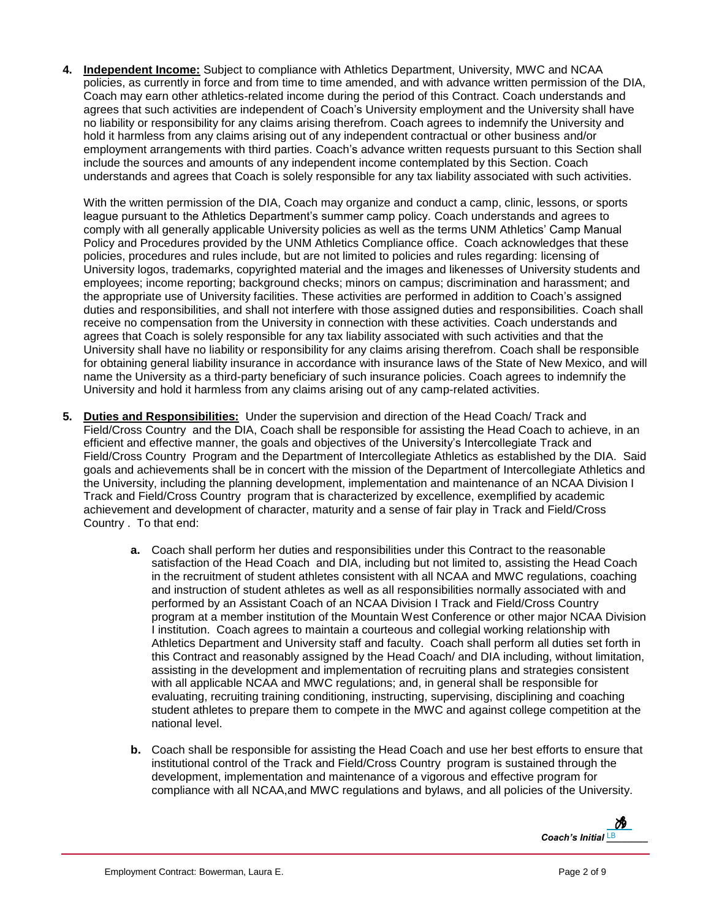**4. Independent Income:** Subject to compliance with Athletics Department, University, MWC and NCAA policies, as currently in force and from time to time amended, and with advance written permission of the DIA, Coach may earn other athletics-related income during the period of this Contract. Coach understands and agrees that such activities are independent of Coach's University employment and the University shall have no liability or responsibility for any claims arising therefrom. Coach agrees to indemnify the University and hold it harmless from any claims arising out of any independent contractual or other business and/or employment arrangements with third parties. Coach's advance written requests pursuant to this Section shall include the sources and amounts of any independent income contemplated by this Section. Coach understands and agrees that Coach is solely responsible for any tax liability associated with such activities.

With the written permission of the DIA, Coach may organize and conduct a camp, clinic, lessons, or sports league pursuant to the Athletics Department's summer camp policy. Coach understands and agrees to comply with all generally applicable University policies as well as the terms UNM Athletics' Camp Manual Policy and Procedures provided by the UNM Athletics Compliance office. Coach acknowledges that these policies, procedures and rules include, but are not limited to policies and rules regarding: licensing of University logos, trademarks, copyrighted material and the images and likenesses of University students and employees; income reporting; background checks; minors on campus; discrimination and harassment; and the appropriate use of University facilities. These activities are performed in addition to Coach's assigned duties and responsibilities, and shall not interfere with those assigned duties and responsibilities. Coach shall receive no compensation from the University in connection with these activities. Coach understands and agrees that Coach is solely responsible for any tax liability associated with such activities and that the University shall have no liability or responsibility for any claims arising therefrom. Coach shall be responsible for obtaining general liability insurance in accordance with insurance laws of the State of New Mexico, and will name the University as a third-party beneficiary of such insurance policies. Coach agrees to indemnify the University and hold it harmless from any claims arising out of any camp-related activities.

- **5. Duties and Responsibilities:** Under the supervision and direction of the Head Coach/ Track and Field/Cross Country and the DIA, Coach shall be responsible for assisting the Head Coach to achieve, in an efficient and effective manner, the goals and objectives of the University's Intercollegiate Track and Field/Cross Country Program and the Department of Intercollegiate Athletics as established by the DIA. Said goals and achievements shall be in concert with the mission of the Department of Intercollegiate Athletics and the University, including the planning development, implementation and maintenance of an NCAA Division I Track and Field/Cross Country program that is characterized by excellence, exemplified by academic achievement and development of character, maturity and a sense of fair play in Track and Field/Cross Country . To that end:
	- **a.** Coach shall perform her duties and responsibilities under this Contract to the reasonable satisfaction of the Head Coach and DIA, including but not limited to, assisting the Head Coach in the recruitment of student athletes consistent with all NCAA and MWC regulations, coaching and instruction of student athletes as well as all responsibilities normally associated with and performed by an Assistant Coach of an NCAA Division I Track and Field/Cross Country program at a member institution of the Mountain West Conference or other major NCAA Division I institution. Coach agrees to maintain a courteous and collegial working relationship with Athletics Department and University staff and faculty. Coach shall perform all duties set forth in this Contract and reasonably assigned by the Head Coach/ and DIA including, without limitation, assisting in the development and implementation of recruiting plans and strategies consistent with all applicable NCAA and MWC regulations; and, in general shall be responsible for evaluating, recruiting training conditioning, instructing, supervising, disciplining and coaching student athletes to prepare them to compete in the MWC and against college competition at the national level.
	- **b.** Coach shall be responsible for assisting the Head Coach and use her best efforts to ensure that institutional control of the Track and Field/Cross Country program is sustained through the development, implementation and maintenance of a vigorous and effective program for compliance with all NCAA,and MWC regulations and bylaws, and all policies of the University.

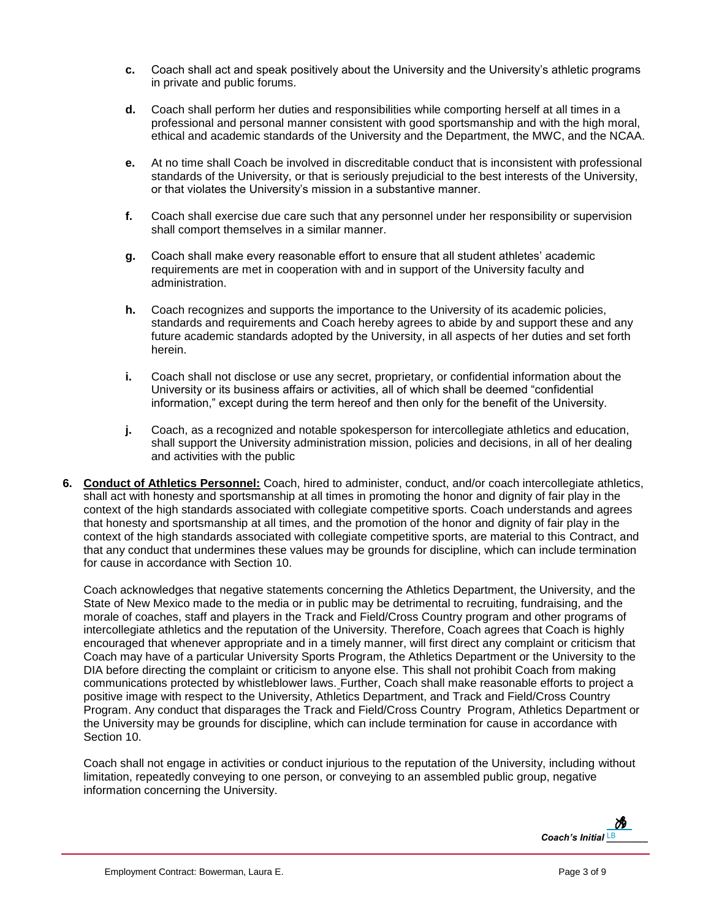- **c.** Coach shall act and speak positively about the University and the University's athletic programs in private and public forums.
- **d.** Coach shall perform her duties and responsibilities while comporting herself at all times in a professional and personal manner consistent with good sportsmanship and with the high moral, ethical and academic standards of the University and the Department, the MWC, and the NCAA.
- **e.** At no time shall Coach be involved in discreditable conduct that is inconsistent with professional standards of the University, or that is seriously prejudicial to the best interests of the University, or that violates the University's mission in a substantive manner.
- **f.** Coach shall exercise due care such that any personnel under her responsibility or supervision shall comport themselves in a similar manner.
- **g.** Coach shall make every reasonable effort to ensure that all student athletes' academic requirements are met in cooperation with and in support of the University faculty and administration.
- **h.** Coach recognizes and supports the importance to the University of its academic policies, standards and requirements and Coach hereby agrees to abide by and support these and any future academic standards adopted by the University, in all aspects of her duties and set forth herein.
- **i.** Coach shall not disclose or use any secret, proprietary, or confidential information about the University or its business affairs or activities, all of which shall be deemed "confidential information," except during the term hereof and then only for the benefit of the University.
- **j.** Coach, as a recognized and notable spokesperson for intercollegiate athletics and education, shall support the University administration mission, policies and decisions, in all of her dealing and activities with the public
- **6. Conduct of Athletics Personnel:** Coach, hired to administer, conduct, and/or coach intercollegiate athletics, shall act with honesty and sportsmanship at all times in promoting the honor and dignity of fair play in the context of the high standards associated with collegiate competitive sports. Coach understands and agrees that honesty and sportsmanship at all times, and the promotion of the honor and dignity of fair play in the context of the high standards associated with collegiate competitive sports, are material to this Contract, and that any conduct that undermines these values may be grounds for discipline, which can include termination for cause in accordance with Section 10.

Coach acknowledges that negative statements concerning the Athletics Department, the University, and the State of New Mexico made to the media or in public may be detrimental to recruiting, fundraising, and the morale of coaches, staff and players in the Track and Field/Cross Country program and other programs of intercollegiate athletics and the reputation of the University. Therefore, Coach agrees that Coach is highly encouraged that whenever appropriate and in a timely manner, will first direct any complaint or criticism that Coach may have of a particular University Sports Program, the Athletics Department or the University to the DIA before directing the complaint or criticism to anyone else. This shall not prohibit Coach from making communications protected by whistleblower laws. Further, Coach shall make reasonable efforts to project a positive image with respect to the University, Athletics Department, and Track and Field/Cross Country Program. Any conduct that disparages the Track and Field/Cross Country Program, Athletics Department or the University may be grounds for discipline, which can include termination for cause in accordance with Section 10.

Coach shall not engage in activities or conduct injurious to the reputation of the University, including without limitation, repeatedly conveying to one person, or conveying to an assembled public group, negative information concerning the University.

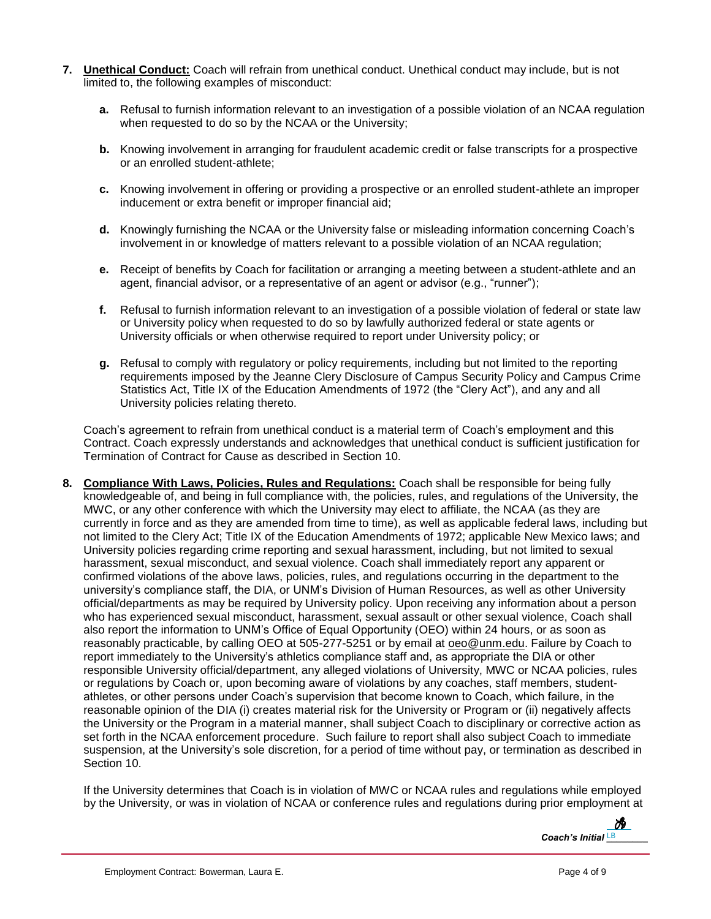- **7. Unethical Conduct:** Coach will refrain from unethical conduct. Unethical conduct may include, but is not limited to, the following examples of misconduct:
	- **a.** Refusal to furnish information relevant to an investigation of a possible violation of an NCAA regulation when requested to do so by the NCAA or the University;
	- **b.** Knowing involvement in arranging for fraudulent academic credit or false transcripts for a prospective or an enrolled student-athlete;
	- **c.** Knowing involvement in offering or providing a prospective or an enrolled student-athlete an improper inducement or extra benefit or improper financial aid;
	- **d.** Knowingly furnishing the NCAA or the University false or misleading information concerning Coach's involvement in or knowledge of matters relevant to a possible violation of an NCAA regulation;
	- **e.** Receipt of benefits by Coach for facilitation or arranging a meeting between a student-athlete and an agent, financial advisor, or a representative of an agent or advisor (e.g., "runner");
	- **f.** Refusal to furnish information relevant to an investigation of a possible violation of federal or state law or University policy when requested to do so by lawfully authorized federal or state agents or University officials or when otherwise required to report under University policy; or
	- **g.** Refusal to comply with regulatory or policy requirements, including but not limited to the reporting requirements imposed by the Jeanne Clery Disclosure of Campus Security Policy and Campus Crime Statistics Act, Title IX of the Education Amendments of 1972 (the "Clery Act"), and any and all University policies relating thereto.

Coach's agreement to refrain from unethical conduct is a material term of Coach's employment and this Contract. Coach expressly understands and acknowledges that unethical conduct is sufficient justification for Termination of Contract for Cause as described in Section 10.

**8. Compliance With Laws, Policies, Rules and Regulations:** Coach shall be responsible for being fully knowledgeable of, and being in full compliance with, the policies, rules, and regulations of the University, the MWC, or any other conference with which the University may elect to affiliate, the NCAA (as they are currently in force and as they are amended from time to time), as well as applicable federal laws, including but not limited to the Clery Act; Title IX of the Education Amendments of 1972; applicable New Mexico laws; and University policies regarding crime reporting and sexual harassment, including, but not limited to sexual harassment, sexual misconduct, and sexual violence. Coach shall immediately report any apparent or confirmed violations of the above laws, policies, rules, and regulations occurring in the department to the university's compliance staff, the DIA, or UNM's Division of Human Resources, as well as other University official/departments as may be required by University policy. Upon receiving any information about a person who has experienced sexual misconduct, harassment, sexual assault or other sexual violence, Coach shall also report the information to UNM's Office of Equal Opportunity (OEO) within 24 hours, or as soon as reasonably practicable, by calling OEO at 505-277-5251 or by email at [oeo@unm.edu.](mailto:oeo@unm.edu) Failure by Coach to report immediately to the University's athletics compliance staff and, as appropriate the DIA or other responsible University official/department, any alleged violations of University, MWC or NCAA policies, rules or regulations by Coach or, upon becoming aware of violations by any coaches, staff members, studentathletes, or other persons under Coach's supervision that become known to Coach, which failure, in the reasonable opinion of the DIA (i) creates material risk for the University or Program or (ii) negatively affects the University or the Program in a material manner, shall subject Coach to disciplinary or corrective action as set forth in the NCAA enforcement procedure. Such failure to report shall also subject Coach to immediate suspension, at the University's sole discretion, for a period of time without pay, or termination as described in Section 10.

If the University determines that Coach is in violation of MWC or NCAA rules and regulations while employed by the University, or was in violation of NCAA or conference rules and regulations during prior employment at

*Coach's Initial LB*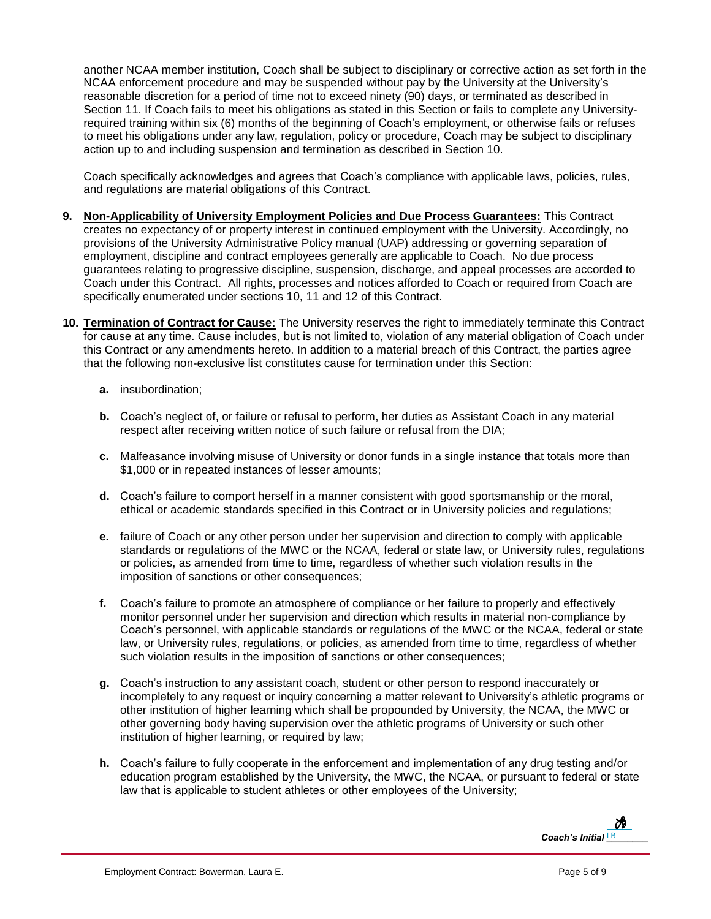another NCAA member institution, Coach shall be subject to disciplinary or corrective action as set forth in the NCAA enforcement procedure and may be suspended without pay by the University at the University's reasonable discretion for a period of time not to exceed ninety (90) days, or terminated as described in Section 11. If Coach fails to meet his obligations as stated in this Section or fails to complete any Universityrequired training within six (6) months of the beginning of Coach's employment, or otherwise fails or refuses to meet his obligations under any law, regulation, policy or procedure, Coach may be subject to disciplinary action up to and including suspension and termination as described in Section 10.

Coach specifically acknowledges and agrees that Coach's compliance with applicable laws, policies, rules, and regulations are material obligations of this Contract.

- **9. Non-Applicability of University Employment Policies and Due Process Guarantees:** This Contract creates no expectancy of or property interest in continued employment with the University. Accordingly, no provisions of the University Administrative Policy manual (UAP) addressing or governing separation of employment, discipline and contract employees generally are applicable to Coach. No due process guarantees relating to progressive discipline, suspension, discharge, and appeal processes are accorded to Coach under this Contract. All rights, processes and notices afforded to Coach or required from Coach are specifically enumerated under sections 10, 11 and 12 of this Contract.
- **10. Termination of Contract for Cause:** The University reserves the right to immediately terminate this Contract for cause at any time. Cause includes, but is not limited to, violation of any material obligation of Coach under this Contract or any amendments hereto. In addition to a material breach of this Contract, the parties agree that the following non-exclusive list constitutes cause for termination under this Section:
	- **a.** insubordination;
	- **b.** Coach's neglect of, or failure or refusal to perform, her duties as Assistant Coach in any material respect after receiving written notice of such failure or refusal from the DIA;
	- **c.** Malfeasance involving misuse of University or donor funds in a single instance that totals more than \$1,000 or in repeated instances of lesser amounts;
	- **d.** Coach's failure to comport herself in a manner consistent with good sportsmanship or the moral, ethical or academic standards specified in this Contract or in University policies and regulations;
	- **e.** failure of Coach or any other person under her supervision and direction to comply with applicable standards or regulations of the MWC or the NCAA, federal or state law, or University rules, regulations or policies, as amended from time to time, regardless of whether such violation results in the imposition of sanctions or other consequences;
	- **f.** Coach's failure to promote an atmosphere of compliance or her failure to properly and effectively monitor personnel under her supervision and direction which results in material non-compliance by Coach's personnel, with applicable standards or regulations of the MWC or the NCAA, federal or state law, or University rules, regulations, or policies, as amended from time to time, regardless of whether such violation results in the imposition of sanctions or other consequences;
	- **g.** Coach's instruction to any assistant coach, student or other person to respond inaccurately or incompletely to any request or inquiry concerning a matter relevant to University's athletic programs or other institution of higher learning which shall be propounded by University, the NCAA, the MWC or other governing body having supervision over the athletic programs of University or such other institution of higher learning, or required by law;
	- **h.** Coach's failure to fully cooperate in the enforcement and implementation of any drug testing and/or education program established by the University, the MWC, the NCAA, or pursuant to federal or state law that is applicable to student athletes or other employees of the University;

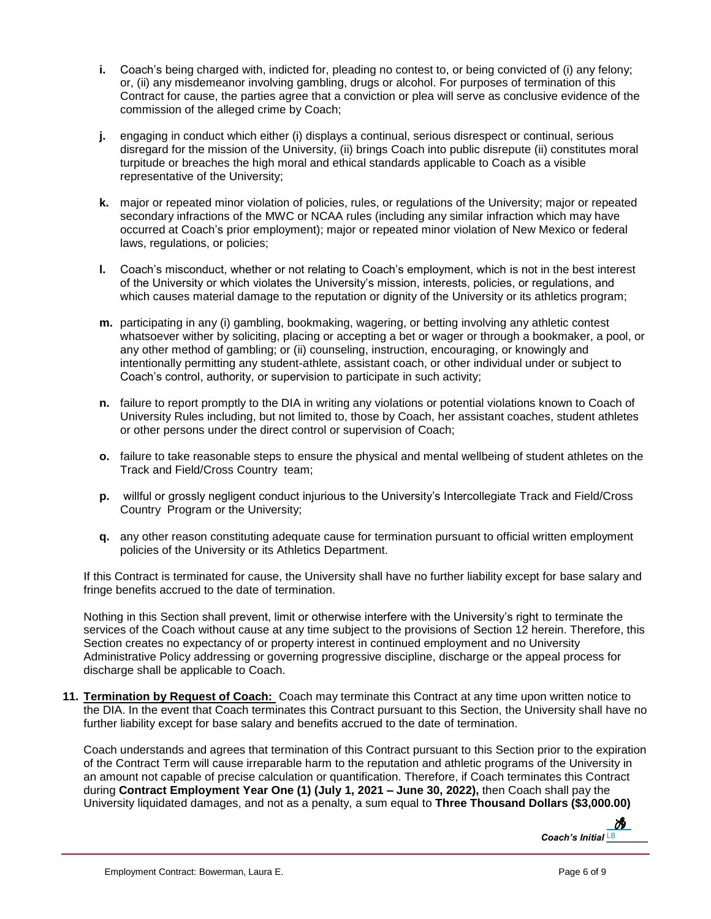- **i.** Coach's being charged with, indicted for, pleading no contest to, or being convicted of (i) any felony; or, (ii) any misdemeanor involving gambling, drugs or alcohol. For purposes of termination of this Contract for cause, the parties agree that a conviction or plea will serve as conclusive evidence of the commission of the alleged crime by Coach;
- **j.** engaging in conduct which either (i) displays a continual, serious disrespect or continual, serious disregard for the mission of the University, (ii) brings Coach into public disrepute (ii) constitutes moral turpitude or breaches the high moral and ethical standards applicable to Coach as a visible representative of the University;
- **k.** major or repeated minor violation of policies, rules, or regulations of the University; major or repeated secondary infractions of the MWC or NCAA rules (including any similar infraction which may have occurred at Coach's prior employment); major or repeated minor violation of New Mexico or federal laws, regulations, or policies;
- **l.** Coach's misconduct, whether or not relating to Coach's employment, which is not in the best interest of the University or which violates the University's mission, interests, policies, or regulations, and which causes material damage to the reputation or dignity of the University or its athletics program;
- **m.** participating in any (i) gambling, bookmaking, wagering, or betting involving any athletic contest whatsoever wither by soliciting, placing or accepting a bet or wager or through a bookmaker, a pool, or any other method of gambling; or (ii) counseling, instruction, encouraging, or knowingly and intentionally permitting any student-athlete, assistant coach, or other individual under or subject to Coach's control, authority, or supervision to participate in such activity;
- **n.** failure to report promptly to the DIA in writing any violations or potential violations known to Coach of University Rules including, but not limited to, those by Coach, her assistant coaches, student athletes or other persons under the direct control or supervision of Coach;
- **o.** failure to take reasonable steps to ensure the physical and mental wellbeing of student athletes on the Track and Field/Cross Country team;
- **p.** willful or grossly negligent conduct injurious to the University's Intercollegiate Track and Field/Cross Country Program or the University;
- **q.** any other reason constituting adequate cause for termination pursuant to official written employment policies of the University or its Athletics Department.

If this Contract is terminated for cause, the University shall have no further liability except for base salary and fringe benefits accrued to the date of termination.

Nothing in this Section shall prevent, limit or otherwise interfere with the University's right to terminate the services of the Coach without cause at any time subject to the provisions of Section 12 herein. Therefore, this Section creates no expectancy of or property interest in continued employment and no University Administrative Policy addressing or governing progressive discipline, discharge or the appeal process for discharge shall be applicable to Coach.

**11. Termination by Request of Coach:** Coach may terminate this Contract at any time upon written notice to the DIA. In the event that Coach terminates this Contract pursuant to this Section, the University shall have no further liability except for base salary and benefits accrued to the date of termination.

Coach understands and agrees that termination of this Contract pursuant to this Section prior to the expiration of the Contract Term will cause irreparable harm to the reputation and athletic programs of the University in an amount not capable of precise calculation or quantification. Therefore, if Coach terminates this Contract during **Contract Employment Year One (1) (July 1, 2021 – June 30, 2022),** then Coach shall pay the University liquidated damages, and not as a penalty, a sum equal to **Three Thousand Dollars (\$3,000.00)**

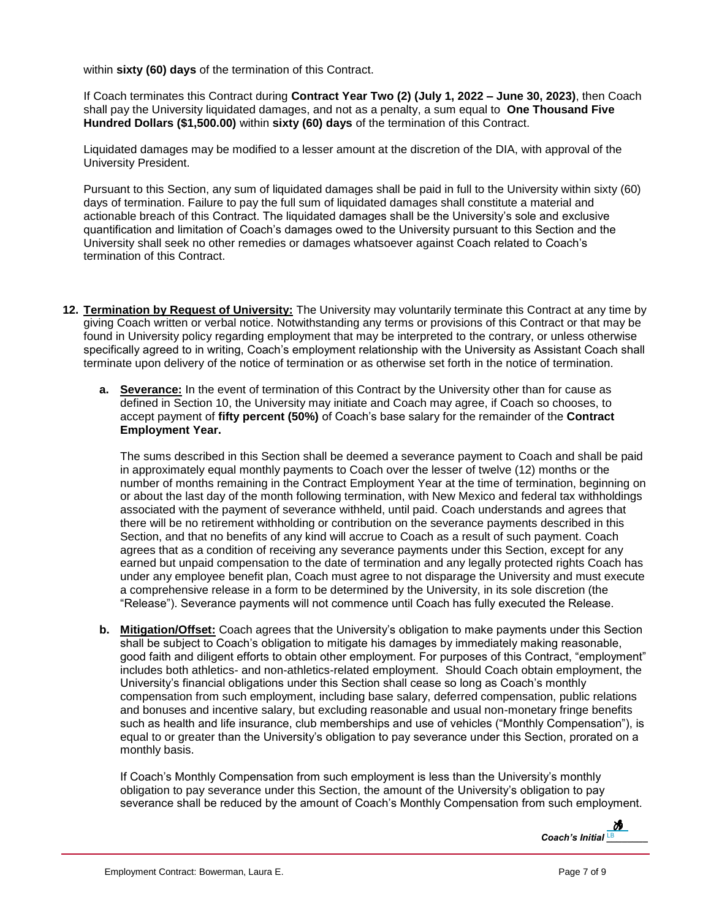within **sixty (60) days** of the termination of this Contract.

If Coach terminates this Contract during **Contract Year Two (2) (July 1, 2022 – June 30, 2023)**, then Coach shall pay the University liquidated damages, and not as a penalty, a sum equal to **One Thousand Five Hundred Dollars (\$1,500.00)** within **sixty (60) days** of the termination of this Contract.

Liquidated damages may be modified to a lesser amount at the discretion of the DIA, with approval of the University President.

Pursuant to this Section, any sum of liquidated damages shall be paid in full to the University within sixty (60) days of termination. Failure to pay the full sum of liquidated damages shall constitute a material and actionable breach of this Contract. The liquidated damages shall be the University's sole and exclusive quantification and limitation of Coach's damages owed to the University pursuant to this Section and the University shall seek no other remedies or damages whatsoever against Coach related to Coach's termination of this Contract.

- **12. Termination by Request of University:** The University may voluntarily terminate this Contract at any time by giving Coach written or verbal notice. Notwithstanding any terms or provisions of this Contract or that may be found in University policy regarding employment that may be interpreted to the contrary, or unless otherwise specifically agreed to in writing, Coach's employment relationship with the University as Assistant Coach shall terminate upon delivery of the notice of termination or as otherwise set forth in the notice of termination.
	- **a. Severance:** In the event of termination of this Contract by the University other than for cause as defined in Section 10, the University may initiate and Coach may agree, if Coach so chooses, to accept payment of **fifty percent (50%)** of Coach's base salary for the remainder of the **Contract Employment Year.**

The sums described in this Section shall be deemed a severance payment to Coach and shall be paid in approximately equal monthly payments to Coach over the lesser of twelve (12) months or the number of months remaining in the Contract Employment Year at the time of termination, beginning on or about the last day of the month following termination, with New Mexico and federal tax withholdings associated with the payment of severance withheld, until paid. Coach understands and agrees that there will be no retirement withholding or contribution on the severance payments described in this Section, and that no benefits of any kind will accrue to Coach as a result of such payment. Coach agrees that as a condition of receiving any severance payments under this Section, except for any earned but unpaid compensation to the date of termination and any legally protected rights Coach has under any employee benefit plan, Coach must agree to not disparage the University and must execute a comprehensive release in a form to be determined by the University, in its sole discretion (the "Release"). Severance payments will not commence until Coach has fully executed the Release.

**b. Mitigation/Offset:** Coach agrees that the University's obligation to make payments under this Section shall be subject to Coach's obligation to mitigate his damages by immediately making reasonable, good faith and diligent efforts to obtain other employment. For purposes of this Contract, "employment" includes both athletics- and non-athletics-related employment. Should Coach obtain employment, the University's financial obligations under this Section shall cease so long as Coach's monthly compensation from such employment, including base salary, deferred compensation, public relations and bonuses and incentive salary, but excluding reasonable and usual non-monetary fringe benefits such as health and life insurance, club memberships and use of vehicles ("Monthly Compensation"), is equal to or greater than the University's obligation to pay severance under this Section, prorated on a monthly basis.

If Coach's Monthly Compensation from such employment is less than the University's monthly obligation to pay severance under this Section, the amount of the University's obligation to pay severance shall be reduced by the amount of Coach's Monthly Compensation from such employment.

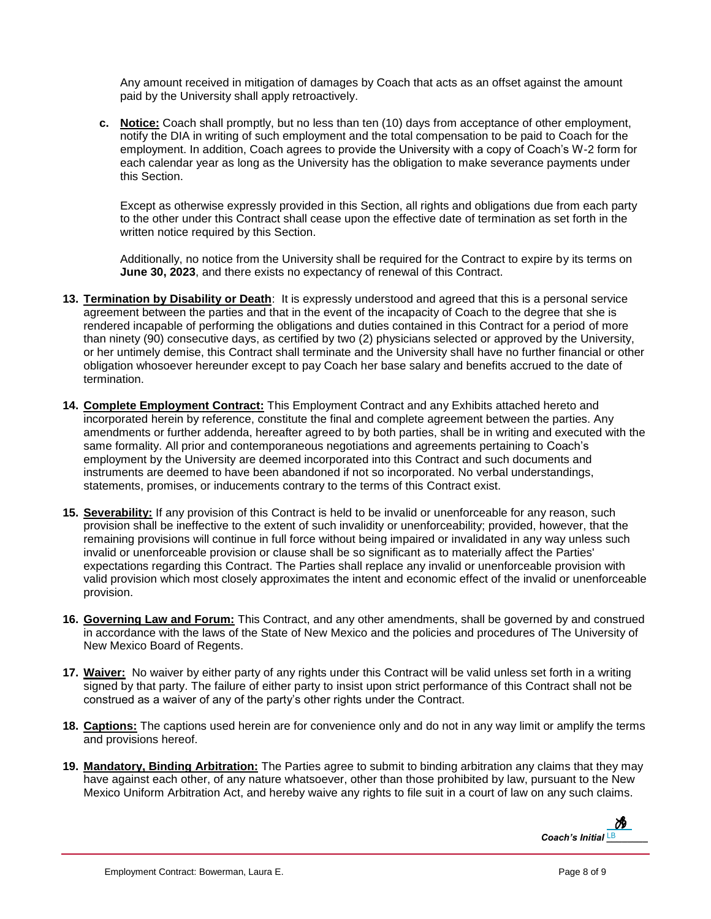Any amount received in mitigation of damages by Coach that acts as an offset against the amount paid by the University shall apply retroactively.

**c. Notice:** Coach shall promptly, but no less than ten (10) days from acceptance of other employment, notify the DIA in writing of such employment and the total compensation to be paid to Coach for the employment. In addition, Coach agrees to provide the University with a copy of Coach's W-2 form for each calendar year as long as the University has the obligation to make severance payments under this Section.

Except as otherwise expressly provided in this Section, all rights and obligations due from each party to the other under this Contract shall cease upon the effective date of termination as set forth in the written notice required by this Section.

Additionally, no notice from the University shall be required for the Contract to expire by its terms on **June 30, 2023**, and there exists no expectancy of renewal of this Contract.

- **13. Termination by Disability or Death**: It is expressly understood and agreed that this is a personal service agreement between the parties and that in the event of the incapacity of Coach to the degree that she is rendered incapable of performing the obligations and duties contained in this Contract for a period of more than ninety (90) consecutive days, as certified by two (2) physicians selected or approved by the University, or her untimely demise, this Contract shall terminate and the University shall have no further financial or other obligation whosoever hereunder except to pay Coach her base salary and benefits accrued to the date of termination.
- **14. Complete Employment Contract:** This Employment Contract and any Exhibits attached hereto and incorporated herein by reference, constitute the final and complete agreement between the parties. Any amendments or further addenda, hereafter agreed to by both parties, shall be in writing and executed with the same formality. All prior and contemporaneous negotiations and agreements pertaining to Coach's employment by the University are deemed incorporated into this Contract and such documents and instruments are deemed to have been abandoned if not so incorporated. No verbal understandings, statements, promises, or inducements contrary to the terms of this Contract exist.
- **15. Severability:** If any provision of this Contract is held to be invalid or unenforceable for any reason, such provision shall be ineffective to the extent of such invalidity or unenforceability; provided, however, that the remaining provisions will continue in full force without being impaired or invalidated in any way unless such invalid or unenforceable provision or clause shall be so significant as to materially affect the Parties' expectations regarding this Contract. The Parties shall replace any invalid or unenforceable provision with valid provision which most closely approximates the intent and economic effect of the invalid or unenforceable provision.
- **16. Governing Law and Forum:** This Contract, and any other amendments, shall be governed by and construed in accordance with the laws of the State of New Mexico and the policies and procedures of The University of New Mexico Board of Regents.
- **17. Waiver:** No waiver by either party of any rights under this Contract will be valid unless set forth in a writing signed by that party. The failure of either party to insist upon strict performance of this Contract shall not be construed as a waiver of any of the party's other rights under the Contract.
- **18. Captions:** The captions used herein are for convenience only and do not in any way limit or amplify the terms and provisions hereof.
- **19. Mandatory, Binding Arbitration:** The Parties agree to submit to binding arbitration any claims that they may have against each other, of any nature whatsoever, other than those prohibited by law, pursuant to the New Mexico Uniform Arbitration Act, and hereby waive any rights to file suit in a court of law on any such claims.